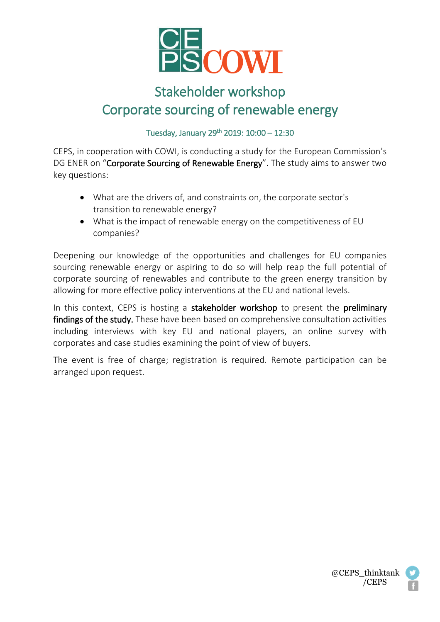

## Stakeholder workshop Corporate sourcing of renewable energy

Tuesday, January 29th 2019: 10:00 – 12:30

CEPS, in cooperation with COWI, is conducting a study for the European Commission's DG ENER on "Corporate Sourcing of Renewable Energy". The study aims to answer two key questions:

- What are the drivers of, and constraints on, the corporate sector's transition to renewable energy?
- What is the impact of renewable energy on the competitiveness of EU companies?

Deepening our knowledge of the opportunities and challenges for EU companies sourcing renewable energy or aspiring to do so will help reap the full potential of corporate sourcing of renewables and contribute to the green energy transition by allowing for more effective policy interventions at the EU and national levels.

In this context, CEPS is hosting a stakeholder workshop to present the preliminary findings of the study. These have been based on comprehensive consultation activities including interviews with key EU and national players, an online survey with corporates and case studies examining the point of view of buyers.

The event is free of charge; registration is required. Remote participation can be arranged upon request.